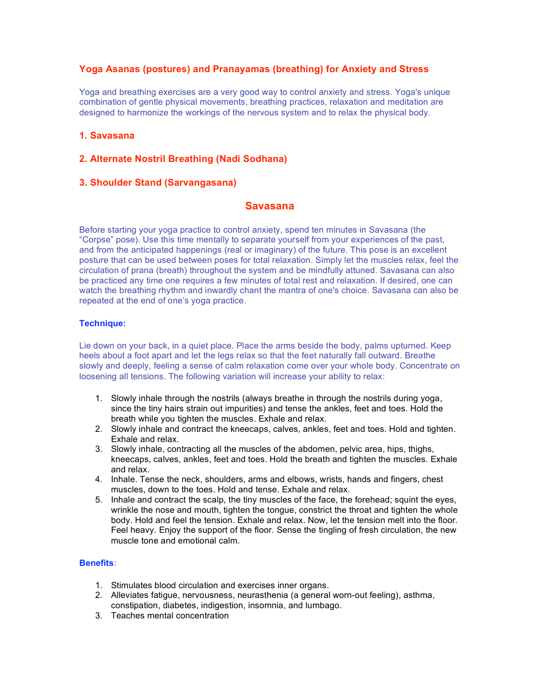# **Yoga Asanas (postures) and Pranayamas (breathing) for Anxiety and Stress**

Yoga and breathing exercises are a very good way to control anxiety and stress. Yoga's unique combination of gentle physical movements, breathing practices, relaxation and meditation are designed to harmonize the workings of the nervous system and to relax the physical body.

# **1. Savasana**

# **2. Alternate Nostril Breathing (Nadi Sodhana)**

## **3. Shoulder Stand (Sarvangasana)**

## **Savasana**

Before starting your yoga practice to control anxiety, spend ten minutes in Savasana (the "Corpse" pose). Use this time mentally to separate yourself from your experiences of the past, and from the anticipated happenings (real or imaginary) of the future. This pose is an excellent posture that can be used between poses for total relaxation. Simply let the muscles relax, feel the circulation of prana (breath) throughout the system and be mindfully attuned. Savasana can also be practiced any time one requires a few minutes of total rest and relaxation. If desired, one can watch the breathing rhythm and inwardly chant the mantra of one's choice. Savasana can also be repeated at the end of one's yoga practice.

## **Technique:**

Lie down on your back, in a quiet place. Place the arms beside the body, palms upturned. Keep heels about a foot apart and let the legs relax so that the feet naturally fall outward. Breathe slowly and deeply, feeling a sense of calm relaxation come over your whole body. Concentrate on loosening all tensions. The following variation will increase your ability to relax:

- 1. Slowly inhale through the nostrils (always breathe in through the nostrils during yoga, since the tiny hairs strain out impurities) and tense the ankles, feet and toes. Hold the breath while you tighten the muscles. Exhale and relax.
- 2. Slowly inhale and contract the kneecaps, calves, ankles, feet and toes. Hold and tighten. Exhale and relax.
- 3. Slowly inhale, contracting all the muscles of the abdomen, pelvic area, hips, thighs, kneecaps, calves, ankles, feet and toes. Hold the breath and tighten the muscles. Exhale and relax.
- 4. Inhale. Tense the neck, shoulders, arms and elbows, wrists, hands and fingers, chest muscles, down to the toes. Hold and tense. Exhale and relax.
- 5. Inhale and contract the scalp, the tiny muscles of the face, the forehead; squint the eyes, wrinkle the nose and mouth, tighten the tongue, constrict the throat and tighten the whole body. Hold and feel the tension. Exhale and relax. Now, let the tension melt into the floor. Feel heavy. Enjoy the support of the floor. Sense the tingling of fresh circulation, the new muscle tone and emotional calm.

## **Benefits**:

- 1. Stimulates blood circulation and exercises inner organs.
- 2. Alleviates fatigue, nervousness, neurasthenia (a general worn-out feeling), asthma, constipation, diabetes, indigestion, insomnia, and lumbago.
- 3. Teaches mental concentration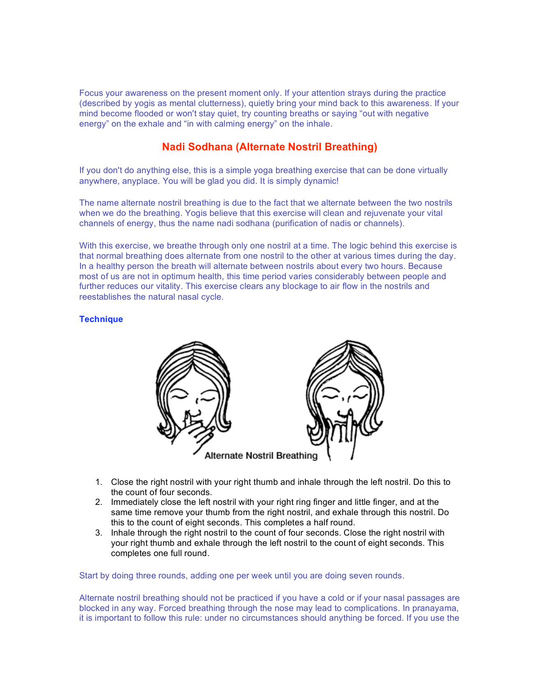Focus your awareness on the present moment only. If your attention strays during the practice (described by yogis as mental clutterness), quietly bring your mind back to this awareness. If your mind become flooded or won't stay quiet, try counting breaths or saying "out with negative energy" on the exhale and "in with calming energy" on the inhale.

# **Nadi Sodhana (Alternate Nostril Breathing)**

If you don't do anything else, this is a simple yoga breathing exercise that can be done virtually anywhere, anyplace. You will be glad you did. It is simply dynamic!

The name alternate nostril breathing is due to the fact that we alternate between the two nostrils when we do the breathing. Yogis believe that this exercise will clean and rejuvenate your vital channels of energy, thus the name nadi sodhana (purification of nadis or channels).

With this exercise, we breathe through only one nostril at a time. The logic behind this exercise is that normal breathing does alternate from one nostril to the other at various times during the day. In a healthy person the breath will alternate between nostrils about every two hours. Because most of us are not in optimum health, this time period varies considerably between people and further reduces our vitality. This exercise clears any blockage to air flow in the nostrils and reestablishes the natural nasal cycle.

## **Technique**



- 1. Close the right nostril with your right thumb and inhale through the left nostril. Do this to the count of four seconds.
- 2. Immediately close the left nostril with your right ring finger and little finger, and at the same time remove your thumb from the right nostril, and exhale through this nostril. Do this to the count of eight seconds. This completes a half round.
- 3. Inhale through the right nostril to the count of four seconds. Close the right nostril with your right thumb and exhale through the left nostril to the count of eight seconds. This completes one full round.

Start by doing three rounds, adding one per week until you are doing seven rounds.

Alternate nostril breathing should not be practiced if you have a cold or if your nasal passages are blocked in any way. Forced breathing through the nose may lead to complications. In pranayama, it is important to follow this rule: under no circumstances should anything be forced. If you use the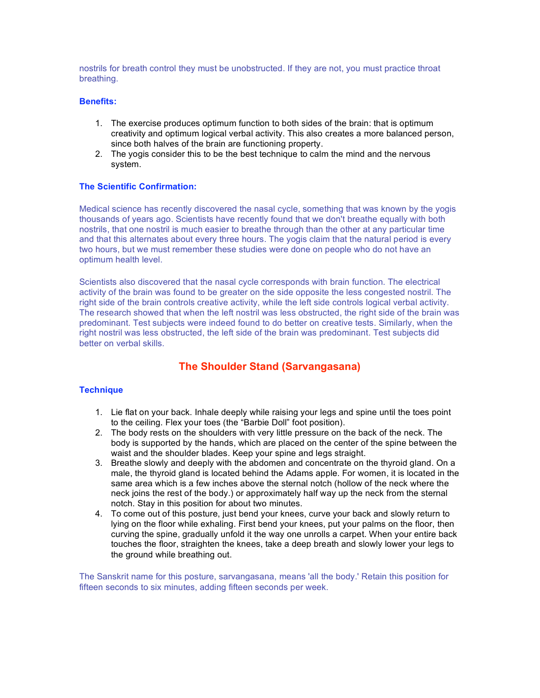nostrils for breath control they must be unobstructed. If they are not, you must practice throat breathing.

#### **Benefits:**

- 1. The exercise produces optimum function to both sides of the brain: that is optimum creativity and optimum logical verbal activity. This also creates a more balanced person, since both halves of the brain are functioning property.
- 2. The yogis consider this to be the best technique to calm the mind and the nervous system.

## **The Scientific Confirmation:**

Medical science has recently discovered the nasal cycle, something that was known by the yogis thousands of years ago. Scientists have recently found that we don't breathe equally with both nostrils, that one nostril is much easier to breathe through than the other at any particular time and that this alternates about every three hours. The yogis claim that the natural period is every two hours, but we must remember these studies were done on people who do not have an optimum health level.

Scientists also discovered that the nasal cycle corresponds with brain function. The electrical activity of the brain was found to be greater on the side opposite the less congested nostril. The right side of the brain controls creative activity, while the left side controls logical verbal activity. The research showed that when the left nostril was less obstructed, the right side of the brain was predominant. Test subjects were indeed found to do better on creative tests. Similarly, when the right nostril was less obstructed, the left side of the brain was predominant. Test subjects did better on verbal skills.

# **The Shoulder Stand (Sarvangasana)**

#### **Technique**

- 1. Lie flat on your back. Inhale deeply while raising your legs and spine until the toes point to the ceiling. Flex your toes (the "Barbie Doll" foot position).
- 2. The body rests on the shoulders with very little pressure on the back of the neck. The body is supported by the hands, which are placed on the center of the spine between the waist and the shoulder blades. Keep your spine and legs straight.
- 3. Breathe slowly and deeply with the abdomen and concentrate on the thyroid gland. On a male, the thyroid gland is located behind the Adams apple. For women, it is located in the same area which is a few inches above the sternal notch (hollow of the neck where the neck joins the rest of the body.) or approximately half way up the neck from the sternal notch. Stay in this position for about two minutes.
- 4. To come out of this posture, just bend your knees, curve your back and slowly return to lying on the floor while exhaling. First bend your knees, put your palms on the floor, then curving the spine, gradually unfold it the way one unrolls a carpet. When your entire back touches the floor, straighten the knees, take a deep breath and slowly lower your legs to the ground while breathing out.

The Sanskrit name for this posture, sarvangasana, means 'all the body.' Retain this position for fifteen seconds to six minutes, adding fifteen seconds per week.